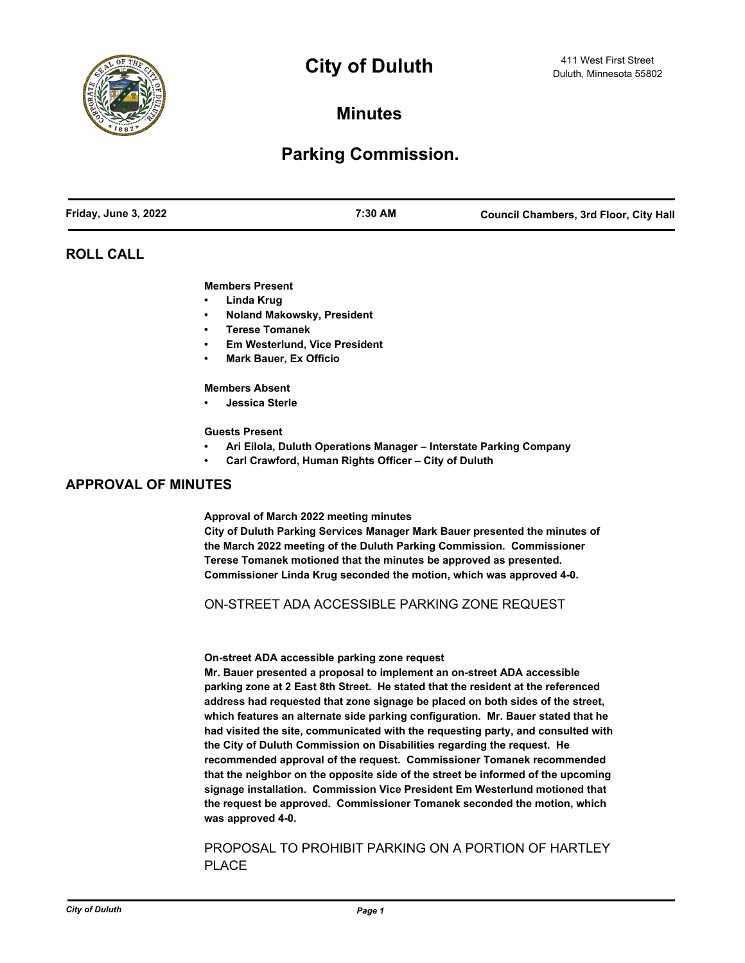

# **City of Duluth**  $\frac{411 \text{ West First Street}}{Duluth, \text{ Minnesota } 55802}$

**Minutes**

## **Parking Commission.**

## **ROLL CALL**

#### **Members Present**

- **• Linda Krug**
- **• Noland Makowsky, President**
- **• Terese Tomanek**
- **• Em Westerlund, Vice President**
- **• Mark Bauer, Ex Officio**

#### **Members Absent**

**• Jessica Sterle**

#### **Guests Present**

- **• Ari Eilola, Duluth Operations Manager Interstate Parking Company**
- **• Carl Crawford, Human Rights Officer City of Duluth**

## **APPROVAL OF MINUTES**

**Approval of March 2022 meeting minutes**

**City of Duluth Parking Services Manager Mark Bauer presented the minutes of the March 2022 meeting of the Duluth Parking Commission. Commissioner Terese Tomanek motioned that the minutes be approved as presented. Commissioner Linda Krug seconded the motion, which was approved 4-0.**

### ON-STREET ADA ACCESSIBLE PARKING ZONE REQUEST

#### **On-street ADA accessible parking zone request**

**Mr. Bauer presented a proposal to implement an on-street ADA accessible parking zone at 2 East 8th Street. He stated that the resident at the referenced address had requested that zone signage be placed on both sides of the street, which features an alternate side parking configuration. Mr. Bauer stated that he had visited the site, communicated with the requesting party, and consulted with the City of Duluth Commission on Disabilities regarding the request. He recommended approval of the request. Commissioner Tomanek recommended that the neighbor on the opposite side of the street be informed of the upcoming signage installation. Commission Vice President Em Westerlund motioned that the request be approved. Commissioner Tomanek seconded the motion, which was approved 4-0.**

## PROPOSAL TO PROHIBIT PARKING ON A PORTION OF HARTLEY PLACE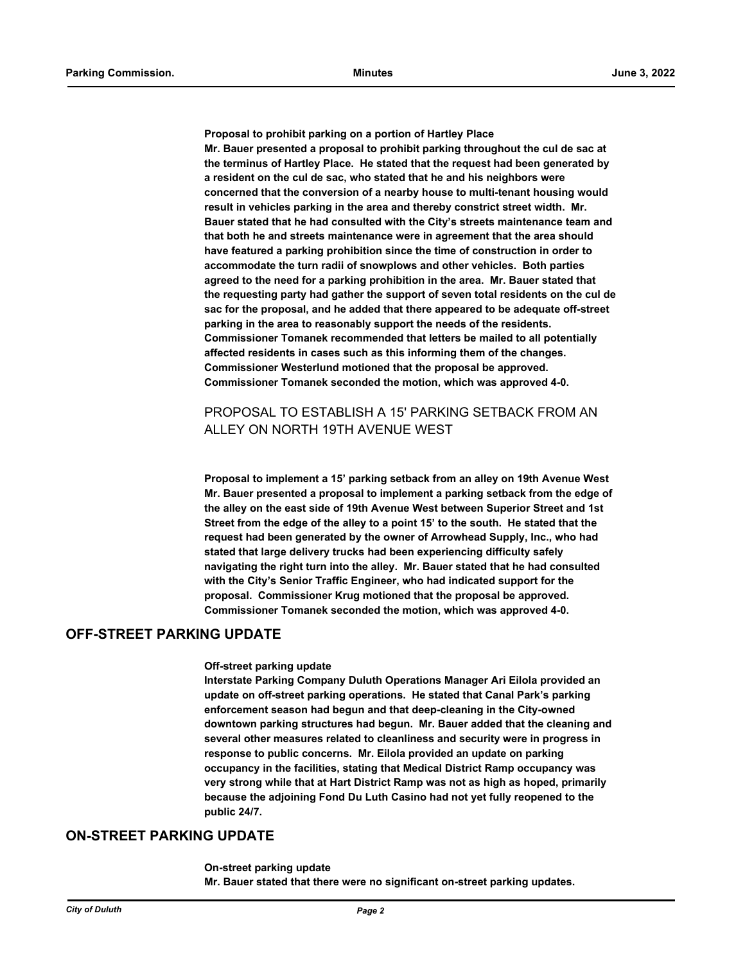**Proposal to prohibit parking on a portion of Hartley Place Mr. Bauer presented a proposal to prohibit parking throughout the cul de sac at the terminus of Hartley Place. He stated that the request had been generated by a resident on the cul de sac, who stated that he and his neighbors were concerned that the conversion of a nearby house to multi-tenant housing would result in vehicles parking in the area and thereby constrict street width. Mr. Bauer stated that he had consulted with the City's streets maintenance team and that both he and streets maintenance were in agreement that the area should have featured a parking prohibition since the time of construction in order to accommodate the turn radii of snowplows and other vehicles. Both parties agreed to the need for a parking prohibition in the area. Mr. Bauer stated that the requesting party had gather the support of seven total residents on the cul de sac for the proposal, and he added that there appeared to be adequate off-street parking in the area to reasonably support the needs of the residents. Commissioner Tomanek recommended that letters be mailed to all potentially affected residents in cases such as this informing them of the changes. Commissioner Westerlund motioned that the proposal be approved. Commissioner Tomanek seconded the motion, which was approved 4-0.**

## PROPOSAL TO ESTABLISH A 15' PARKING SETBACK FROM AN ALLEY ON NORTH 19TH AVENUE WEST

**Proposal to implement a 15' parking setback from an alley on 19th Avenue West Mr. Bauer presented a proposal to implement a parking setback from the edge of the alley on the east side of 19th Avenue West between Superior Street and 1st Street from the edge of the alley to a point 15' to the south. He stated that the request had been generated by the owner of Arrowhead Supply, Inc., who had stated that large delivery trucks had been experiencing difficulty safely navigating the right turn into the alley. Mr. Bauer stated that he had consulted with the City's Senior Traffic Engineer, who had indicated support for the proposal. Commissioner Krug motioned that the proposal be approved. Commissioner Tomanek seconded the motion, which was approved 4-0.**

## **OFF-STREET PARKING UPDATE**

#### **Off-street parking update**

**Interstate Parking Company Duluth Operations Manager Ari Eilola provided an update on off-street parking operations. He stated that Canal Park's parking enforcement season had begun and that deep-cleaning in the City-owned downtown parking structures had begun. Mr. Bauer added that the cleaning and several other measures related to cleanliness and security were in progress in response to public concerns. Mr. Eilola provided an update on parking occupancy in the facilities, stating that Medical District Ramp occupancy was very strong while that at Hart District Ramp was not as high as hoped, primarily because the adjoining Fond Du Luth Casino had not yet fully reopened to the public 24/7.**

## **ON-STREET PARKING UPDATE**

**On-street parking update Mr. Bauer stated that there were no significant on-street parking updates.**